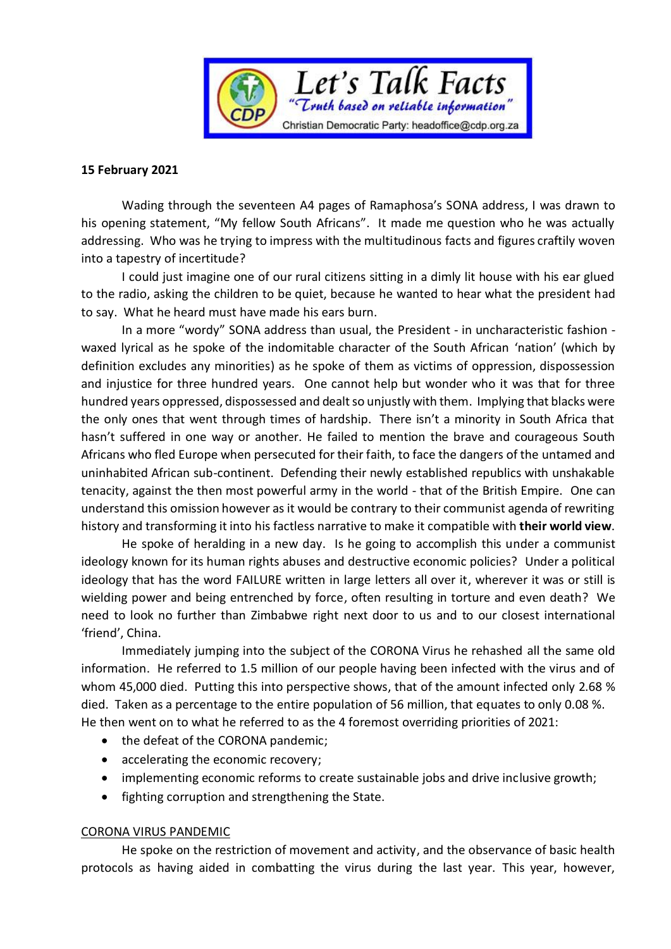

## **15 February 2021**

Wading through the seventeen A4 pages of Ramaphosa's SONA address, I was drawn to his opening statement, "My fellow South Africans". It made me question who he was actually addressing. Who was he trying to impress with the multitudinous facts and figures craftily woven into a tapestry of incertitude?

I could just imagine one of our rural citizens sitting in a dimly lit house with his ear glued to the radio, asking the children to be quiet, because he wanted to hear what the president had to say. What he heard must have made his ears burn.

In a more "wordy" SONA address than usual, the President - in uncharacteristic fashion waxed lyrical as he spoke of the indomitable character of the South African 'nation' (which by definition excludes any minorities) as he spoke of them as victims of oppression, dispossession and injustice for three hundred years. One cannot help but wonder who it was that for three hundred years oppressed, dispossessed and dealt so unjustly with them. Implying that blacks were the only ones that went through times of hardship. There isn't a minority in South Africa that hasn't suffered in one way or another. He failed to mention the brave and courageous South Africans who fled Europe when persecuted for their faith, to face the dangers of the untamed and uninhabited African sub-continent. Defending their newly established republics with unshakable tenacity, against the then most powerful army in the world - that of the British Empire. One can understand this omission however as it would be contrary to their communist agenda of rewriting history and transforming it into his factless narrative to make it compatible with **their world view**.

He spoke of heralding in a new day. Is he going to accomplish this under a communist ideology known for its human rights abuses and destructive economic policies? Under a political ideology that has the word FAILURE written in large letters all over it, wherever it was or still is wielding power and being entrenched by force, often resulting in torture and even death? We need to look no further than Zimbabwe right next door to us and to our closest international 'friend', China.

Immediately jumping into the subject of the CORONA Virus he rehashed all the same old information. He referred to 1.5 million of our people having been infected with the virus and of whom 45,000 died. Putting this into perspective shows, that of the amount infected only 2.68 % died. Taken as a percentage to the entire population of 56 million, that equates to only 0.08 %. He then went on to what he referred to as the 4 foremost overriding priorities of 2021:

- the defeat of the CORONA pandemic;
- accelerating the economic recovery;
- implementing economic reforms to create sustainable jobs and drive inclusive growth;
- fighting corruption and strengthening the State.

## CORONA VIRUS PANDEMIC

He spoke on the restriction of movement and activity, and the observance of basic health protocols as having aided in combatting the virus during the last year. This year, however,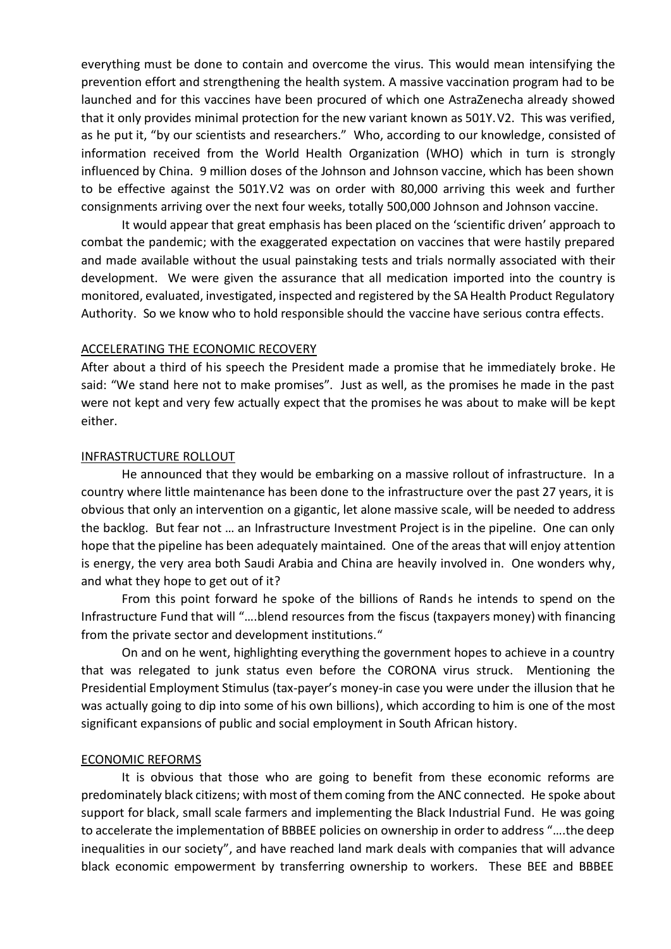everything must be done to contain and overcome the virus. This would mean intensifying the prevention effort and strengthening the health system. A massive vaccination program had to be launched and for this vaccines have been procured of which one AstraZenecha already showed that it only provides minimal protection for the new variant known as 501Y.V2. This was verified, as he put it, "by our scientists and researchers." Who, according to our knowledge, consisted of information received from the World Health Organization (WHO) which in turn is strongly influenced by China. 9 million doses of the Johnson and Johnson vaccine, which has been shown to be effective against the 501Y.V2 was on order with 80,000 arriving this week and further consignments arriving over the next four weeks, totally 500,000 Johnson and Johnson vaccine.

It would appear that great emphasis has been placed on the 'scientific driven' approach to combat the pandemic; with the exaggerated expectation on vaccines that were hastily prepared and made available without the usual painstaking tests and trials normally associated with their development. We were given the assurance that all medication imported into the country is monitored, evaluated, investigated, inspected and registered by the SA Health Product Regulatory Authority. So we know who to hold responsible should the vaccine have serious contra effects.

#### ACCELERATING THE ECONOMIC RECOVERY

After about a third of his speech the President made a promise that he immediately broke. He said: "We stand here not to make promises". Just as well, as the promises he made in the past were not kept and very few actually expect that the promises he was about to make will be kept either.

#### INFRASTRUCTURE ROLLOUT

He announced that they would be embarking on a massive rollout of infrastructure. In a country where little maintenance has been done to the infrastructure over the past 27 years, it is obvious that only an intervention on a gigantic, let alone massive scale, will be needed to address the backlog. But fear not … an Infrastructure Investment Project is in the pipeline. One can only hope that the pipeline has been adequately maintained. One of the areas that will enjoy attention is energy, the very area both Saudi Arabia and China are heavily involved in. One wonders why, and what they hope to get out of it?

From this point forward he spoke of the billions of Rands he intends to spend on the Infrastructure Fund that will "….blend resources from the fiscus (taxpayers money) with financing from the private sector and development institutions."

On and on he went, highlighting everything the government hopes to achieve in a country that was relegated to junk status even before the CORONA virus struck. Mentioning the Presidential Employment Stimulus (tax-payer's money-in case you were under the illusion that he was actually going to dip into some of his own billions), which according to him is one of the most significant expansions of public and social employment in South African history.

## ECONOMIC REFORMS

It is obvious that those who are going to benefit from these economic reforms are predominately black citizens; with most of them coming from the ANC connected. He spoke about support for black, small scale farmers and implementing the Black Industrial Fund. He was going to accelerate the implementation of BBBEE policies on ownership in order to address "….the deep inequalities in our society", and have reached land mark deals with companies that will advance black economic empowerment by transferring ownership to workers. These BEE and BBBEE